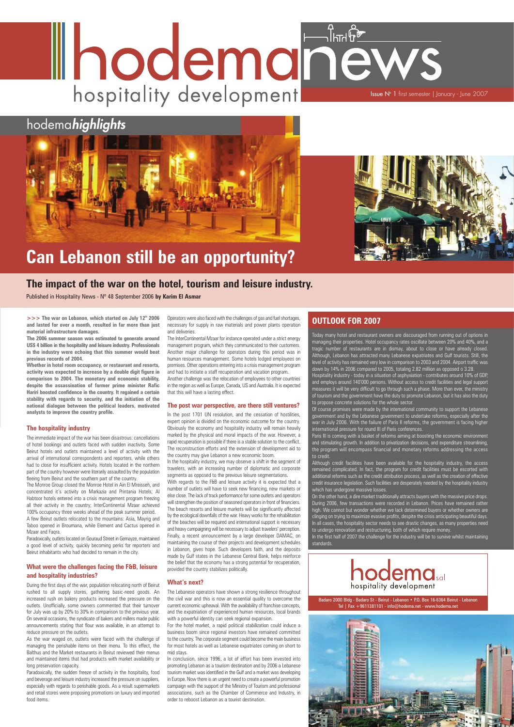# Ihodemanew. hospitality development **Issue N° 1** first semester | January - June 2007

# hodema*highlights*





# **Can Lebanon still be an opportunity?**

**>>> The war on Lebanon, which started on July 12<sup>th</sup> 2006 and lasted for over a month, resulted in far more than just material infrastructure damages.**

**The 2006 summer season was estimated to generate around US\$ 4 billion in the hospitality and leisure industry. Professionals in the industry were echoing that this summer would beat previous records of 2004.** 

**Whether in hotel room occupancy, or restaurant and resorts, activity was expected to increase by a double digit figure in comparison to 2004. The monetary and economic stability, despite the assassination of former prime minister Rafic Hariri boosted confidence in the country. It regained a certain stability with regards to security, and the initiation of the national dialogue between the political leaders, motivated analysts to improve the country profile.**

### **The hospitality industry**

Paradoxically, outlets located on Gouraud Street in Gemayze, maintained a good level of activity, quickly becoming perks for reporters and

The immediate impact of the war has been disastrous: cancellations of hotel bookings and outlets faced with sudden inactivity. Some Beirut hotels and outlets maintained a level of activity with the arrival of international correspondents and reporters, while others had to close for insufficient activity. Hotels located in the northern part of the country however were literarily assaulted by the population fleeing from Beirut and the southern part of the country.

The Monroe Group closed the Monroe Hotel in Ain El Mreisseh, and concentrated it's activity on Markazia and Printania Hotels; Al Habtoor hotels entered into a crisis management program freezing all their activity in the country; InterContinental Mzaar achieved 100% occupancy three weeks ahead of the peak summer period.

Operators were also faced with the challenges of gas and fuel shortages, necessary for supply in raw materials and power plants operation and deliveries.

A few Beirut outlets relocated to the mountains: Asia, Mayrig and Taboo opened in Broumana, while Element and Cactus opened in Mzaar and Faqra.

Beirut inhabitants who had decided to remain in the city.

### **What were the challenges facing the F&B, leisure and hospitality industries?**

During the first days of the war, population relocating north of Beirut rushed to all supply stores, gathering basic-need goods. An increased rush on bakery products increased the pressure on the outlets. Unofficially, some owners commented that their turnover for July was up by 20% to 30% in comparison to the previous year. On several occasions, the syndicate of bakers and millers made public announcements stating that flour was available, in an attempt to reduce pressure on the outlets.

With regards to the F&B and leisure activity it is expected that a number of outlets will have to seek new financing, new markets or else close. The lack of track performance for some outlets and operators will strengthen the position of seasoned operators in front of financiers. The beach resorts and leisure markets will be significantly affected by the ecological downfalls of the war. Heavy works for the rehabilitation of the beaches will be required and international support is necessary and heavy campaigning will be necessary to adjust travelers' perception. Finally, a recent announcement by a large developer DAMAC, on maintaining the course of their projects and development schedules

As the war waged on, outlets were faced with the challenge of managing the perishable items on their menu. To this effect, the Balthus and the Market restaurants in Beirut reviewed their menus and maintained items that had products with market availability or long preservation capacity.

Paradoxically, the sudden freeze of activity in the hospitality, food and beverage and leisure industry increased the pressure on suppliers, especially with regards to perishable goods. As a result supermarkets and retail stores were proposing promotions on luxury and imported food items.

The InterContinental Mzaar for instance operated under a strict energy management program, which they communicated to their customers. Another major challenge for operators during this period was in human resources management. Some hotels lodged employees on premises. Other operations entering into a crisis management program and had to initiate a staff recuperation and vacation program. Another challenge was the relocation of employees to other countries in the region as well as Europe, Canada, US and Australia. It is expected that this will have a lasting effect.

#### **The post war perspective, are there still ventures?**

Hospitality industry - today in a situation of asphyxiation - contributes around 10% of GDP, and employs around 140'000 persons. Without access to credit facilities and legal support measures it will be very difficult to go through such a phase. More than ever, the ministry of tourism and the government have the duty to promote Lebanon, but it has also the duty to propose concrete solutions for the whole sector.

In the post 1701 UN resolution, and the cessation of hostilities, expert opinion is divided on the economic outcome for the country. Obviously the economy and hospitality industry will remain heavily marked by the physical and moral impacts of the war. However, a rapid recuperation is possible if there is a stable solution to the conflict. The reconstruction efforts and the extension of development aid to the country may give Lebanon a new economic boom.

In the hospitality industry, we may observe a shift in the segment of travelers, with an increasing number of diplomatic and corporate segments as opposed to the previous leisure segmentations.

> In the first half of 2007 the challenge for the industry will be to survive whilst maintaining standards.

in Lebanon, gives hope. Such developers faith, and the deposits made by Gulf states in the Lebanese Central Bank, helps reinforce the belief that the economy has a strong potential for recuperation, provided the country stabilizes politically.

### **What's next?**

The Lebanese operators have shown a strong resilience throughout the civil war and this is now an essential quality to overcome the current economic upheaval. With the availability of franchise concepts, and the expatriation of experienced human resources, local brands with a powerful identity can seek regional expansion.

For the hotel market, a rapid political stabilization could induce a business boom since regional investors have remained committed to the country. The corporate segment could become the main business for most hotels as well as Lebanese expatriates coming on short to mid stays.

In conclusion, since 1996, a lot of effort has been invested into promoting Lebanon as a tourism destination and by 2006 a Lebanese tourism market wasidentified in the Gulf and a market was developing in Europe. Now there is an urgent need to create a powerful promotion campaign with the support of the Ministry of Tourism and professional associations, such as the Chamber of Commerce and Industry, in order to reboost Lebanon as a tourist destination.



**The impact of the war on the hotel, tourism and leisure industry.**

Published in Hospitality News - Nº 48 September 2006 **by Karim El Asmar**

Badaro 2000 Bldg - Badaro St - Beirut - Lebanon • P.O. Box 16-6364 Beirut - Lebanon Tel | Fax +9611381101 - info@hodema.net - www.hodema.net



## **OUTLOOK FOR 2007**

Today many hotel and restaurant owners are discouraged from running out of options in managing their properties. Hotel occupancy rates oscillate between 20% and 40%, and a tragic number of restaurants are in dismay, about to close or have already closed. Although, Lebanon has attracted many Lebanese expatriates and Gulf tourists. Still, the level of activity has remained very low in comparison to 2003 and 2004. Airport traffic was down by 14% in 2006 compared to 2005, totaling 2.82 million as opposed o 3.28.

Of course promises were made by the international community to support the Lebanese government and by the Lebanese government to undertake reforms, especially after the war in July 2006. With the failure of Paris II reforms, the government is facing higher international pressure for round III of Paris conferences.

Paris III is coming with a basket of reforms aiming at boosting the economic environment and stimulating growth. In addition to privatization decisions, and expenditure streamlining, the program will encompass financial and monetary reforms addressing the access to credit.

Although credit facilities have been available for the hospitality industry, the access remained complicated. In fact, the program for credit facilities must be escorted with additional reforms such as the credit attribution process, as well as the creation of effective credit insurance legislation. Such facilities are desperately needed by the hospitality industry which has undergone massive losses.

On the other hand, a dire market traditionally attracts buyers with the massive price drops. During 2006, few transactions were recorded in Lebanon. Prices have remained rather high. We cannot but wonder whether we lack determined buyers or whether owners are clinging on trying to maximize evasive profits, despite the crisis anticipating beautiful days. In all cases, the hospitality sector needs to see drastic changes, as many properties need to undergo renovation and restructuring, both of which require money.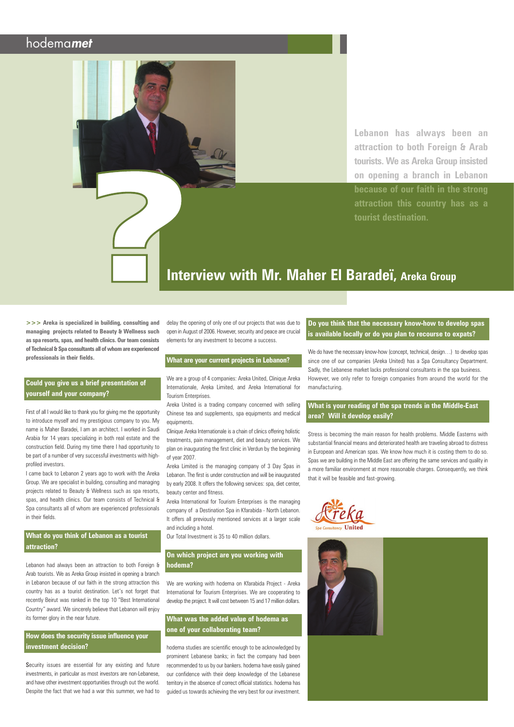## hodemamet

# **Interview with Mr. Maher El Baradeï, Areka Group**

delay the opening of only one of our projects that was due to open in August of 2006. However, security and peace are crucial elements for any investment to become a success.

### **What are your current projects in Lebanon?**

We are a group of 4 companies: Areka United, Clinique Areka Internationale, Areka Limited, and Areka International for Tourism Enterprises.

Areka United is a trading company concerned with selling Chinese tea and supplements, spa equipments and medical equipments.

Clinique Areka Internationale is a chain of clinics offering holistic treatments, pain management, diet and beauty services. We plan on inaugurating the first clinic in Verdun by the beginning of year 2007.

Areka Limited is the managing company of 3 Day Spas in Lebanon. The first is under construction and will be inaugurated by early 2008. It offers the following services: spa, diet center, beauty center and fitness.

Areka International for Tourism Enterprises is the managing company of a Destination Spa in Kfarabida - North Lebanon. It offers all previously mentioned services at a larger scale and including a hotel.

We do have the necessary know-how (concept, technical, design...) to develop spas since one of our companies (Areka United) has a Spa Consultancy Department. Sadly, the Lebanese market lacks professional consultants in the spa business. However, we only refer to foreign companies from around the world for the manufacturing.

Our Total Investment is 35 to 40 million dollars.

## **On which project are you working with hodema?**

We are working with hodema on Kfarabida Project - Areka International for Tourism Enterprises. We are cooperating to develop the project. Itwill cost between 15 and 17 million dollars.

## **What was the added value of hodema as one of your collaborating team?**

hodema studies are scientific enough to be acknowledged by prominent Lebanese banks; in fact the company had been recommended to us by our bankers. hodema have easily gained our confidence with their deep knowledge of the Lebanese territory in the absence of correct official statistics. hodema has guided us towards achieving the very best for our investment.



### **Do you think that the necessary know-how to develop spas is available locally or do you plan to recourse to expats?**

### **What is your reading of the spa trends in the Middle-East area? Will it develop easily?**

Security issues are essential for any existing and future investments, in particular as most investors are non-Lebanese, and have other investment opportunities through out the world. Despite the fact that we had a war this summer, we had to Stress is becoming the main reason for health problems. Middle Easterns with substantial financial means and deteriorated health are traveling abroad to distress in European and American spas. We know how much it is costing them to do so. Spas we are building in the Middle East are offering the same services and quality in a more familiar environment at more reasonable charges. Consequently, we think that it will be feasible and fast-growing.

**Lebanon has always been an attraction to both Foreign & Arab tourists. We as Areka Group insisted on opening a branch in Lebanon because of our faith in the strong attraction this country has as a tourist destination.**

**>>> Areka is specialized in building, consulting and managing projects related to Beauty & Wellness such as spa resorts, spas, and health clinics. Our team consists of Technical&Spa consultants all ofwhomare experienced professionals in their fields.** 

### **Could you give us a brief presentation of yourself and your company?**

First of all I would like to thank you for giving me the opportunity to introduce myself and my prestigious company to you. My name is Maher Baradei, I am an architect. I worked in Saudi Arabia for 14 years specializing in both real estate and the construction field. During my time there I had opportunity to be part of a number of very successful investments with highprofiled investors.

I came back to Lebanon 2 years ago to work with the Areka Group. We are specialist in building, consulting and managing projects related to Beauty & Wellness such as spa resorts, spas, and health clinics. Our team consists of Technical & Spa consultants all of whom are experienced professionals in their fields.

**What do you think of Lebanon as a tourist attraction?**

Lebanon had always been an attraction to both Foreign & Arab tourists. We as Areka Group insisted in opening a branch in Lebanon because of our faith in the strong attraction this country has as a tourist destination. Let's not forget that recently Beirut was ranked in the top 10 "Best International Country" award. We sincerely believe that Lebanon will enjoy its former glory in the near future.

**How does the security issue influence your investment decision?**

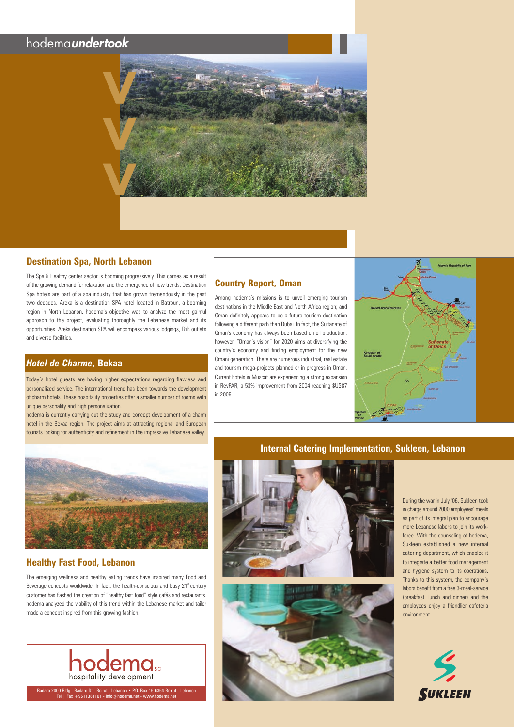## **Destination Spa, North Lebanon**

The Spa & Healthy center sector is booming progressively. This comes as a result of the growing demand for relaxation and the emergence of new trends. Destination Spa hotels are part of a spa industry that has grown tremendously in the past two decades. Areka is a destination SPA hotel located in Batroun, a booming region in North Lebanon. hodema's objective was to analyze the most gainful approach to the project, evaluating thoroughly the Lebanese market and its opportunities. Areka destination SPA will encompass various lodgings, F&B outlets and diverse facilities.

## *Hotel de Charme***, Bekaa**

Today's hotel guests are having higher expectations regarding flawless and personalized service. The international trend has been towards the development of charm hotels. These hospitality properties offer a smaller number of rooms with unique personality and high personalization.

hodema is currently carrying out the study and concept development of a charm hotel in the Bekaa region. The project aims at attracting regional and European tourists looking for authenticity and refinement in the impressive Lebanese valley.



## **Healthy Fast Food, Lebanon**

The emerging wellness and healthy eating trends have inspired many Food and Beverage concepts worldwide. In fact, the health-conscious and busy 21<sup>st</sup> century customer has flashed the creation of "healthy fast food" style cafés and restaurants. hodema analyzed the viability of this trend within the Lebanese market and tailor made a concept inspired from this growing fashion.



## **Country Report, Oman**

Among hodema's missions is to unveil emerging tourism destinations in the Middle East and North Africa region; and Oman definitely appears to be a future tourism destination following a different path than Dubai. In fact, the Sultanate of Oman's economy has always been based on oil production; however, "Oman's vision" for 2020 aims at diversifying the country's economy and finding employment for the new Omani generation. There are numerous industrial, real estate and tourism mega-projects planned or in progress in Oman. Current hotels in Muscat are experiencing a strong expansion in RevPAR; a 53% improvement from 2004 reaching \$US87 in 2005.



During the war in July '06, Sukleen took in charge around 2000 employees' meals as part of its integral plan to encourage more Lebanese labors to join its workforce. With the counseling of hodema, Sukleen established a new internal catering department, which enabled it to integrate a better food management and hygiene system to its operations. Thanks to this system, the company's labors benefit from a free 3-meal-service (breakfast, lunch and dinner) and the employees enjoy a friendlier cafeteria environment.

## hodemaundertook



Badaro 2000 Bldg - Badaro St - Beirut - Lebanon • P.O. Box 16-6364 Beirut - Lebanon Tel | Fax +9611381101 - info@hodema.net - www.hodema.net





## **Internal Catering Implementation, Sukleen, Lebanon**